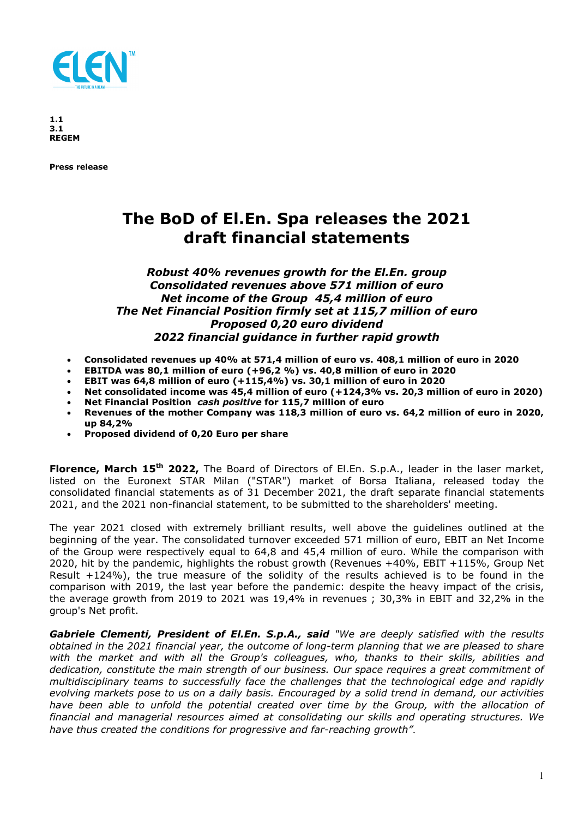

**1.1 3.1 REGEM** 

**Press release** 

# **The BoD of El.En. Spa releases the 2021 draft financial statements**

# *Robust 40% revenues growth for the El.En. group Consolidated revenues above 571 million of euro Net income of the Group 45,4 million of euro The Net Financial Position firmly set at 115,7 million of euro Proposed 0,20 euro dividend 2022 financial guidance in further rapid growth*

- **Consolidated revenues up 40% at 571,4 million of euro vs. 408,1 million of euro in 2020**
- **EBITDA was 80,1 million of euro (+96,2 %) vs. 40,8 million of euro in 2020**
- **EBIT was 64,8 million of euro (+115,4%) vs. 30,1 million of euro in 2020**
- **Net consolidated income was 45,4 million of euro (+124,3% vs. 20,3 million of euro in 2020)**
- **Net Financial Position** *cash positive* **for 115,7 million of euro**
- **Revenues of the mother Company was 118,3 million of euro vs. 64,2 million of euro in 2020, up 84,2%**
- **Proposed dividend of 0,20 Euro per share**

**Florence, March 15th 2022,** The Board of Directors of El.En. S.p.A., leader in the laser market, listed on the Euronext STAR Milan ("STAR") market of Borsa Italiana, released today the consolidated financial statements as of 31 December 2021, the draft separate financial statements 2021, and the 2021 non-financial statement, to be submitted to the shareholders' meeting.

The year 2021 closed with extremely brilliant results, well above the guidelines outlined at the beginning of the year. The consolidated turnover exceeded 571 million of euro, EBIT an Net Income of the Group were respectively equal to 64,8 and 45,4 million of euro. While the comparison with 2020, hit by the pandemic, highlights the robust growth (Revenues +40%, EBIT +115%, Group Net Result  $+124%$ ), the true measure of the solidity of the results achieved is to be found in the comparison with 2019, the last year before the pandemic: despite the heavy impact of the crisis, the average growth from 2019 to 2021 was 19,4% in revenues ; 30,3% in EBIT and 32,2% in the group's Net profit.

*Gabriele Clementi, President of El.En. S.p.A., said "We are deeply satisfied with the results obtained in the 2021 financial year, the outcome of long-term planning that we are pleased to share with the market and with all the Group's colleagues, who, thanks to their skills, abilities and dedication, constitute the main strength of our business. Our space requires a great commitment of multidisciplinary teams to successfully face the challenges that the technological edge and rapidly evolving markets pose to us on a daily basis. Encouraged by a solid trend in demand, our activities have been able to unfold the potential created over time by the Group, with the allocation of financial and managerial resources aimed at consolidating our skills and operating structures. We have thus created the conditions for progressive and far-reaching growth"*.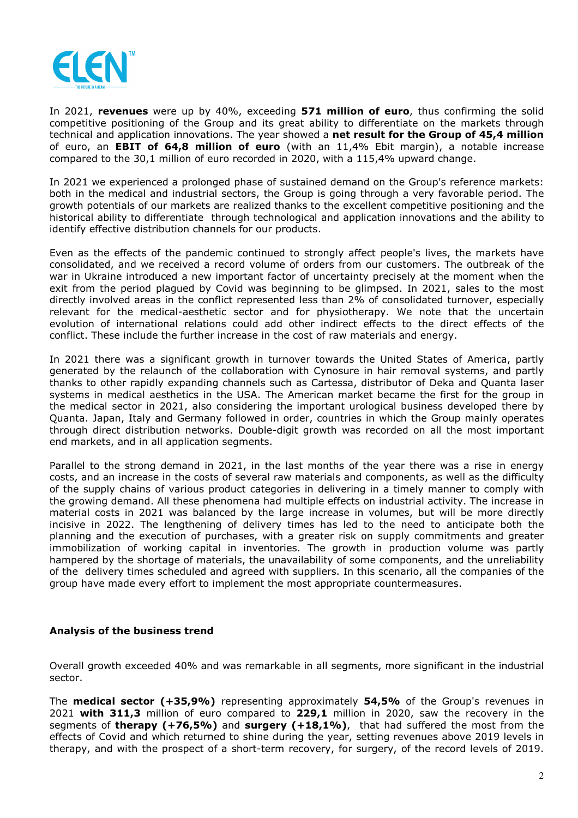

In 2021, **revenues** were up by 40%, exceeding **571 million of euro**, thus confirming the solid competitive positioning of the Group and its great ability to differentiate on the markets through technical and application innovations. The year showed a **net result for the Group of 45,4 million** of euro, an **EBIT of 64,8 million of euro** (with an 11,4% Ebit margin), a notable increase compared to the 30,1 million of euro recorded in 2020, with a 115,4% upward change.

In 2021 we experienced a prolonged phase of sustained demand on the Group's reference markets: both in the medical and industrial sectors, the Group is going through a very favorable period. The growth potentials of our markets are realized thanks to the excellent competitive positioning and the historical ability to differentiate through technological and application innovations and the ability to identify effective distribution channels for our products.

Even as the effects of the pandemic continued to strongly affect people's lives, the markets have consolidated, and we received a record volume of orders from our customers. The outbreak of the war in Ukraine introduced a new important factor of uncertainty precisely at the moment when the exit from the period plagued by Covid was beginning to be glimpsed. In 2021, sales to the most directly involved areas in the conflict represented less than 2% of consolidated turnover, especially relevant for the medical-aesthetic sector and for physiotherapy. We note that the uncertain evolution of international relations could add other indirect effects to the direct effects of the conflict. These include the further increase in the cost of raw materials and energy.

In 2021 there was a significant growth in turnover towards the United States of America, partly generated by the relaunch of the collaboration with Cynosure in hair removal systems, and partly thanks to other rapidly expanding channels such as Cartessa, distributor of Deka and Quanta laser systems in medical aesthetics in the USA. The American market became the first for the group in the medical sector in 2021, also considering the important urological business developed there by Quanta. Japan, Italy and Germany followed in order, countries in which the Group mainly operates through direct distribution networks. Double-digit growth was recorded on all the most important end markets, and in all application segments.

Parallel to the strong demand in 2021, in the last months of the year there was a rise in energy costs, and an increase in the costs of several raw materials and components, as well as the difficulty of the supply chains of various product categories in delivering in a timely manner to comply with the growing demand. All these phenomena had multiple effects on industrial activity. The increase in material costs in 2021 was balanced by the large increase in volumes, but will be more directly incisive in 2022. The lengthening of delivery times has led to the need to anticipate both the planning and the execution of purchases, with a greater risk on supply commitments and greater immobilization of working capital in inventories. The growth in production volume was partly hampered by the shortage of materials, the unavailability of some components, and the unreliability of the delivery times scheduled and agreed with suppliers. In this scenario, all the companies of the group have made every effort to implement the most appropriate countermeasures.

# **Analysis of the business trend**

Overall growth exceeded 40% and was remarkable in all segments, more significant in the industrial sector.

The **medical sector (+35,9%)** representing approximately **54,5%** of the Group's revenues in 2021 **with 311,3** million of euro compared to **229,1** million in 2020, saw the recovery in the segments of **therapy (+76,5%)** and **surgery (+18,1%)**, that had suffered the most from the effects of Covid and which returned to shine during the year, setting revenues above 2019 levels in therapy, and with the prospect of a short-term recovery, for surgery, of the record levels of 2019.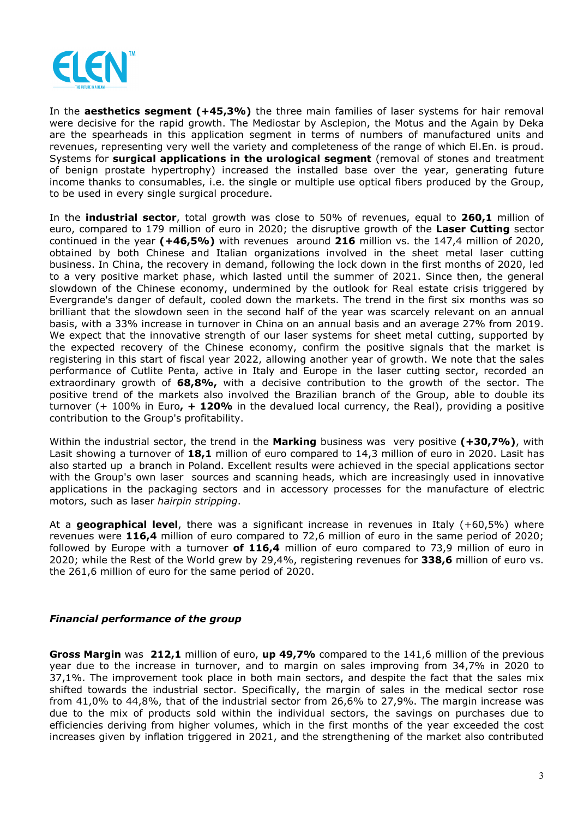

In the **aesthetics segment (+45,3%)** the three main families of laser systems for hair removal were decisive for the rapid growth. The Mediostar by Asclepion, the Motus and the Again by Deka are the spearheads in this application segment in terms of numbers of manufactured units and revenues, representing very well the variety and completeness of the range of which El.En. is proud. Systems for **surgical applications in the urological segment** (removal of stones and treatment of benign prostate hypertrophy) increased the installed base over the year, generating future income thanks to consumables, i.e. the single or multiple use optical fibers produced by the Group, to be used in every single surgical procedure.

In the **industrial sector**, total growth was close to 50% of revenues, equal to **260,1** million of euro, compared to 179 million of euro in 2020; the disruptive growth of the **Laser Cutting** sector continued in the year **(+46,5%)** with revenues around **216** million vs. the 147,4 million of 2020, obtained by both Chinese and Italian organizations involved in the sheet metal laser cutting business. In China, the recovery in demand, following the lock down in the first months of 2020, led to a very positive market phase, which lasted until the summer of 2021. Since then, the general slowdown of the Chinese economy, undermined by the outlook for Real estate crisis triggered by Evergrande's danger of default, cooled down the markets. The trend in the first six months was so brilliant that the slowdown seen in the second half of the year was scarcely relevant on an annual basis, with a 33% increase in turnover in China on an annual basis and an average 27% from 2019. We expect that the innovative strength of our laser systems for sheet metal cutting, supported by the expected recovery of the Chinese economy, confirm the positive signals that the market is registering in this start of fiscal year 2022, allowing another year of growth. We note that the sales performance of Cutlite Penta, active in Italy and Europe in the laser cutting sector, recorded an extraordinary growth of **68,8%,** with a decisive contribution to the growth of the sector. The positive trend of the markets also involved the Brazilian branch of the Group, able to double its turnover (+ 100% in Euro**, + 120%** in the devalued local currency, the Real), providing a positive contribution to the Group's profitability.

Within the industrial sector, the trend in the **Marking** business was very positive **(+30,7%)**, with Lasit showing a turnover of **18,1** million of euro compared to 14,3 million of euro in 2020. Lasit has also started up a branch in Poland. Excellent results were achieved in the special applications sector with the Group's own laser sources and scanning heads, which are increasingly used in innovative applications in the packaging sectors and in accessory processes for the manufacture of electric motors, such as laser *hairpin stripping*.

At a **geographical level**, there was a significant increase in revenues in Italy (+60,5%) where revenues were **116,4** million of euro compared to 72,6 million of euro in the same period of 2020; followed by Europe with a turnover **of 116,4** million of euro compared to 73,9 million of euro in 2020; while the Rest of the World grew by 29,4%, registering revenues for **338,6** million of euro vs. the 261,6 million of euro for the same period of 2020.

# *Financial performance of the group*

**Gross Margin** was **212,1** million of euro, **up 49,7%** compared to the 141,6 million of the previous year due to the increase in turnover, and to margin on sales improving from 34,7% in 2020 to 37,1%. The improvement took place in both main sectors, and despite the fact that the sales mix shifted towards the industrial sector. Specifically, the margin of sales in the medical sector rose from 41,0% to 44,8%, that of the industrial sector from 26,6% to 27,9%. The margin increase was due to the mix of products sold within the individual sectors, the savings on purchases due to efficiencies deriving from higher volumes, which in the first months of the year exceeded the cost increases given by inflation triggered in 2021, and the strengthening of the market also contributed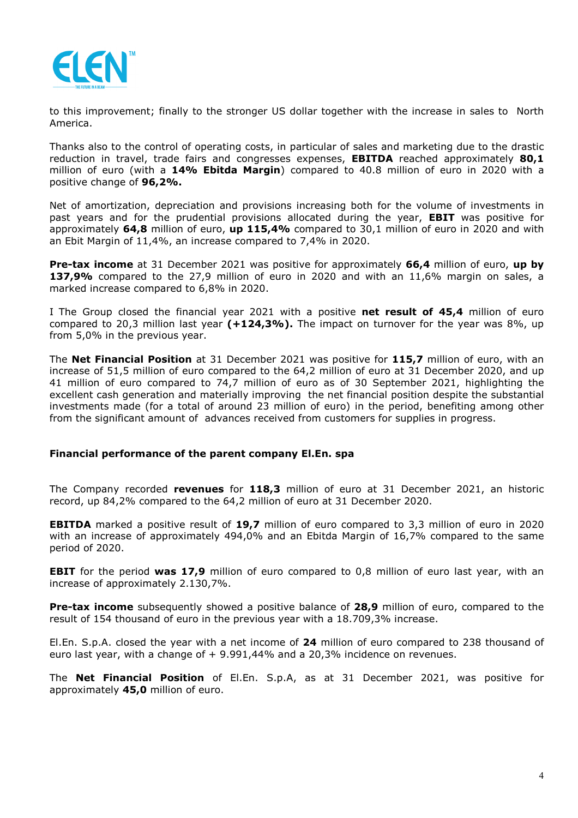

to this improvement; finally to the stronger US dollar together with the increase in sales to North America.

Thanks also to the control of operating costs, in particular of sales and marketing due to the drastic reduction in travel, trade fairs and congresses expenses, **EBITDA** reached approximately **80,1** million of euro (with a **14% Ebitda Margin**) compared to 40.8 million of euro in 2020 with a positive change of **96,2%.**

Net of amortization, depreciation and provisions increasing both for the volume of investments in past years and for the prudential provisions allocated during the year, **EBIT** was positive for approximately **64,8** million of euro, **up 115,4%** compared to 30,1 million of euro in 2020 and with an Ebit Margin of 11,4%, an increase compared to 7,4% in 2020.

**Pre-tax income** at 31 December 2021 was positive for approximately **66,4** million of euro, **up by 137,9%** compared to the 27,9 million of euro in 2020 and with an 11,6% margin on sales, a marked increase compared to 6,8% in 2020.

I The Group closed the financial year 2021 with a positive **net result of 45,4** million of euro compared to 20,3 million last year **(+124,3%).** The impact on turnover for the year was 8%, up from 5,0% in the previous year.

The **Net Financial Position** at 31 December 2021 was positive for **115,7** million of euro, with an increase of 51,5 million of euro compared to the 64,2 million of euro at 31 December 2020, and up 41 million of euro compared to 74,7 million of euro as of 30 September 2021, highlighting the excellent cash generation and materially improving the net financial position despite the substantial investments made (for a total of around 23 million of euro) in the period, benefiting among other from the significant amount of advances received from customers for supplies in progress.

# **Financial performance of the parent company El.En. spa**

The Company recorded **revenues** for **118,3** million of euro at 31 December 2021, an historic record, up 84,2% compared to the 64,2 million of euro at 31 December 2020.

**EBITDA** marked a positive result of **19,7** million of euro compared to 3,3 million of euro in 2020 with an increase of approximately 494,0% and an Ebitda Margin of 16,7% compared to the same period of 2020.

**EBIT** for the period **was 17,9** million of euro compared to 0,8 million of euro last year, with an increase of approximately 2.130,7%.

**Pre-tax income** subsequently showed a positive balance of **28,9** million of euro, compared to the result of 154 thousand of euro in the previous year with a 18.709,3% increase.

El.En. S.p.A. closed the year with a net income of **24** million of euro compared to 238 thousand of euro last year, with a change of + 9.991,44% and a 20,3% incidence on revenues.

The **Net Financial Position** of El.En. S.p.A, as at 31 December 2021, was positive for approximately **45,0** million of euro.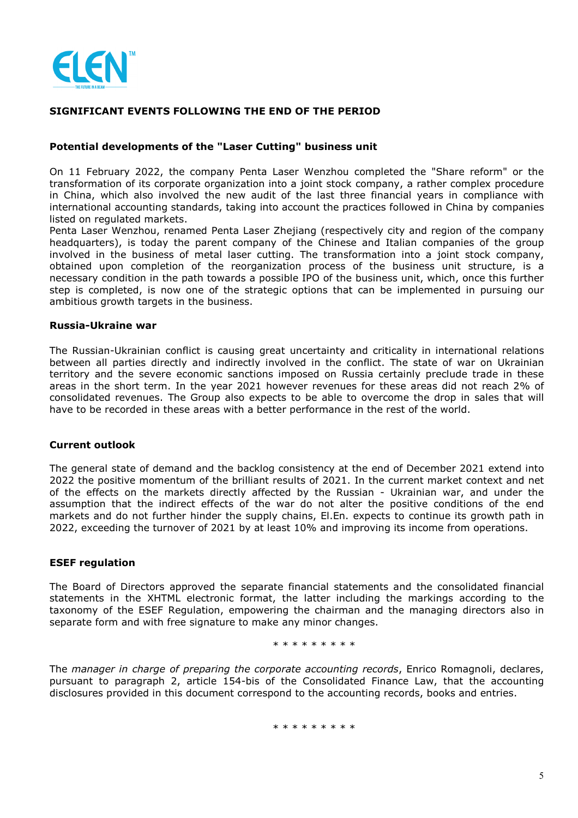

## **SIGNIFICANT EVENTS FOLLOWING THE END OF THE PERIOD**

## **Potential developments of the "Laser Cutting" business unit**

On 11 February 2022, the company Penta Laser Wenzhou completed the "Share reform" or the transformation of its corporate organization into a joint stock company, a rather complex procedure in China, which also involved the new audit of the last three financial years in compliance with international accounting standards, taking into account the practices followed in China by companies listed on regulated markets.

Penta Laser Wenzhou, renamed Penta Laser Zhejiang (respectively city and region of the company headquarters), is today the parent company of the Chinese and Italian companies of the group involved in the business of metal laser cutting. The transformation into a joint stock company, obtained upon completion of the reorganization process of the business unit structure, is a necessary condition in the path towards a possible IPO of the business unit, which, once this further step is completed, is now one of the strategic options that can be implemented in pursuing our ambitious growth targets in the business.

## **Russia-Ukraine war**

The Russian-Ukrainian conflict is causing great uncertainty and criticality in international relations between all parties directly and indirectly involved in the conflict. The state of war on Ukrainian territory and the severe economic sanctions imposed on Russia certainly preclude trade in these areas in the short term. In the year 2021 however revenues for these areas did not reach 2% of consolidated revenues. The Group also expects to be able to overcome the drop in sales that will have to be recorded in these areas with a better performance in the rest of the world.

## **Current outlook**

The general state of demand and the backlog consistency at the end of December 2021 extend into 2022 the positive momentum of the brilliant results of 2021. In the current market context and net of the effects on the markets directly affected by the Russian - Ukrainian war, and under the assumption that the indirect effects of the war do not alter the positive conditions of the end markets and do not further hinder the supply chains, El.En. expects to continue its growth path in 2022, exceeding the turnover of 2021 by at least 10% and improving its income from operations.

### **ESEF regulation**

The Board of Directors approved the separate financial statements and the consolidated financial statements in the XHTML electronic format, the latter including the markings according to the taxonomy of the ESEF Regulation, empowering the chairman and the managing directors also in separate form and with free signature to make any minor changes.

## \* \* \* \* \* \* \* \*

The *manager in charge of preparing the corporate accounting records*, Enrico Romagnoli, declares, pursuant to paragraph 2, article 154-bis of the Consolidated Finance Law, that the accounting disclosures provided in this document correspond to the accounting records, books and entries.

\* \* \* \* \* \* \* \*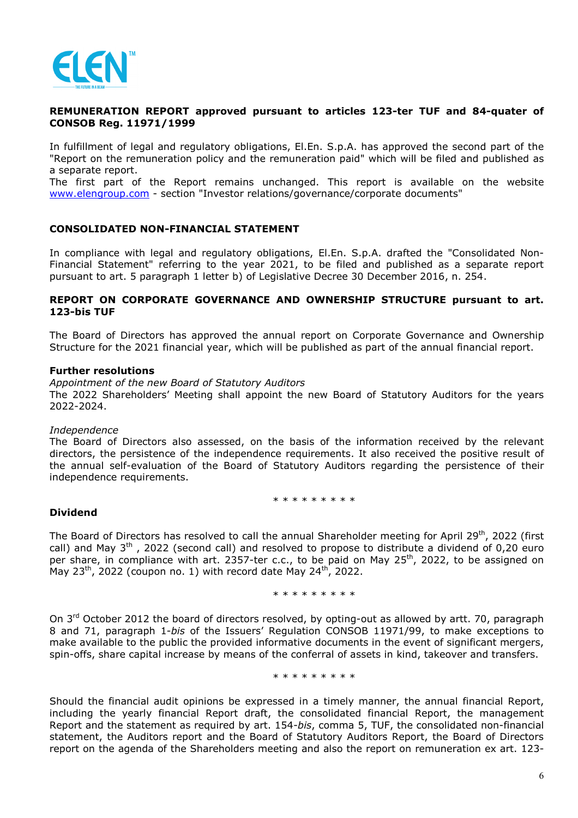

## **REMUNERATION REPORT approved pursuant to articles 123-ter TUF and 84-quater of CONSOB Reg. 11971/1999**

In fulfillment of legal and regulatory obligations, El.En. S.p.A. has approved the second part of the "Report on the remuneration policy and the remuneration paid" which will be filed and published as a separate report.

The first part of the Report remains unchanged. This report is available on the website www.elengroup.com - section "Investor relations/governance/corporate documents"

## **CONSOLIDATED NON-FINANCIAL STATEMENT**

In compliance with legal and regulatory obligations, El.En. S.p.A. drafted the "Consolidated Non-Financial Statement" referring to the year 2021, to be filed and published as a separate report pursuant to art. 5 paragraph 1 letter b) of Legislative Decree 30 December 2016, n. 254.

## **REPORT ON CORPORATE GOVERNANCE AND OWNERSHIP STRUCTURE pursuant to art. 123-bis TUF**

The Board of Directors has approved the annual report on Corporate Governance and Ownership Structure for the 2021 financial year, which will be published as part of the annual financial report.

#### **Further resolutions**

*Appointment of the new Board of Statutory Auditors*  The 2022 Shareholders' Meeting shall appoint the new Board of Statutory Auditors for the years 2022-2024.

#### *Independence*

The Board of Directors also assessed, on the basis of the information received by the relevant directors, the persistence of the independence requirements. It also received the positive result of the annual self-evaluation of the Board of Statutory Auditors regarding the persistence of their independence requirements.

\* \* \* \* \* \* \* \* \*

## **Dividend**

The Board of Directors has resolved to call the annual Shareholder meeting for April 29<sup>th</sup>, 2022 (first call) and May  $3<sup>th</sup>$ , 2022 (second call) and resolved to propose to distribute a dividend of 0.20 euro per share, in compliance with art. 2357-ter c.c., to be paid on May 25<sup>th</sup>, 2022, to be assigned on May  $23<sup>th</sup>$ , 2022 (coupon no. 1) with record date May  $24<sup>th</sup>$ , 2022.

\* \* \* \* \* \* \* \*

On 3<sup>rd</sup> October 2012 the board of directors resolved, by opting-out as allowed by artt. 70, paragraph 8 and 71, paragraph 1-*bis* of the Issuers' Regulation CONSOB 11971/99, to make exceptions to make available to the public the provided informative documents in the event of significant mergers, spin-offs, share capital increase by means of the conferral of assets in kind, takeover and transfers.

\* \* \* \* \* \* \* \* \*

Should the financial audit opinions be expressed in a timely manner, the annual financial Report, including the yearly financial Report draft, the consolidated financial Report, the management Report and the statement as required by art. 154-*bis*, comma 5, TUF, the consolidated non-financial statement, the Auditors report and the Board of Statutory Auditors Report, the Board of Directors report on the agenda of the Shareholders meeting and also the report on remuneration ex art. 123-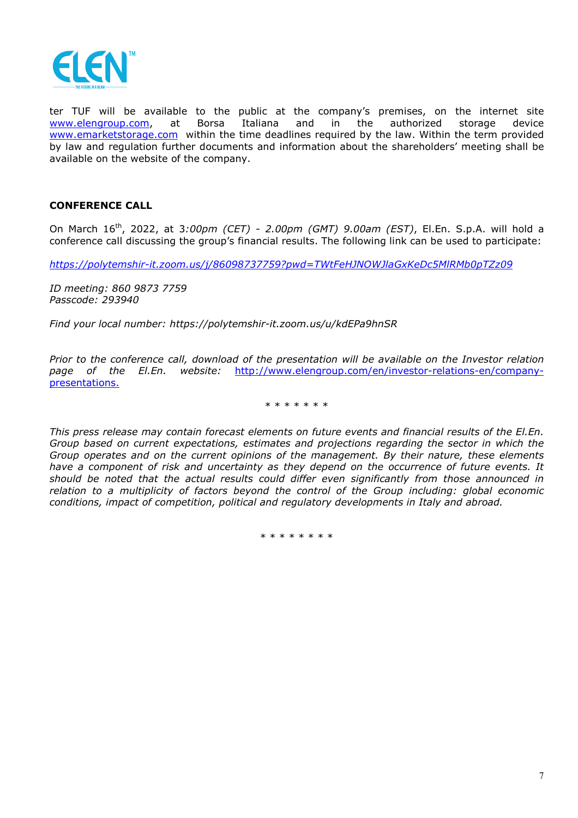

ter TUF will be available to the public at the company's premises, on the internet site www.elengroup.com, at Borsa Italiana and in the authorized storage device www.emarketstorage.com within the time deadlines required by the law. Within the term provided by law and regulation further documents and information about the shareholders' meeting shall be available on the website of the company.

# **CONFERENCE CALL**

On March 16th, 2022, at 3*:00pm (CET) - 2.00pm (GMT) 9.00am (EST)*, El.En. S.p.A. will hold a conference call discussing the group's financial results. The following link can be used to participate:

*https://polytemshir-it.zoom.us/j/86098737759?pwd=TWtFeHJNOWJlaGxKeDc5MlRMb0pTZz09* 

*ID meeting: 860 9873 7759 Passcode: 293940* 

*Find your local number: https://polytemshir-it.zoom.us/u/kdEPa9hnSR* 

*Prior to the conference call, download of the presentation will be available on the Investor relation page of the El.En. website:* http://www.elengroup.com/en/investor-relations-en/companypresentations.

\* \* \* \* \* \* \*

*This press release may contain forecast elements on future events and financial results of the El.En. Group based on current expectations, estimates and projections regarding the sector in which the Group operates and on the current opinions of the management. By their nature, these elements have a component of risk and uncertainty as they depend on the occurrence of future events. It should be noted that the actual results could differ even significantly from those announced in relation to a multiplicity of factors beyond the control of the Group including: global economic conditions, impact of competition, political and regulatory developments in Italy and abroad.* 

\* \* \* \* \* \* \*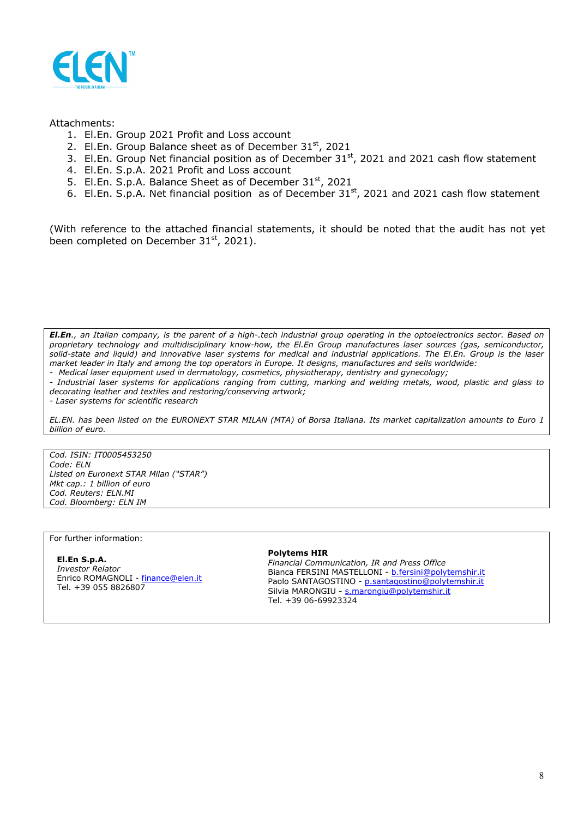

### Attachments:

- 1. El.En. Group 2021 Profit and Loss account
- 2. El.En. Group Balance sheet as of December  $31<sup>st</sup>$ , 2021
- 3. El.En. Group Net financial position as of December  $31<sup>st</sup>$ , 2021 and 2021 cash flow statement
- 4. El.En. S.p.A. 2021 Profit and Loss account
- 5. El.En. S.p.A. Balance Sheet as of December 31<sup>st</sup>, 2021
- 6. El.En. S.p.A. Net financial position as of December  $31<sup>st</sup>$ , 2021 and 2021 cash flow statement

(With reference to the attached financial statements, it should be noted that the audit has not yet been completed on December  $31<sup>st</sup>$ , 2021).

*El.En., an Italian company, is the parent of a high-.tech industrial group operating in the optoelectronics sector. Based on proprietary technology and multidisciplinary know-how, the El.En Group manufactures laser sources (gas, semiconductor, solid-state and liquid) and innovative laser systems for medical and industrial applications. The El.En. Group is the laser market leader in Italy and among the top operators in Europe. It designs, manufactures and sells worldwide:* 

*- Medical laser equipment used in dermatology, cosmetics, physiotherapy, dentistry and gynecology;* 

*- Industrial laser systems for applications ranging from cutting, marking and welding metals, wood, plastic and glass to decorating leather and textiles and restoring/conserving artwork;* 

*- Laser systems for scientific research* 

*EL.EN. has been listed on the EURONEXT STAR MILAN (MTA) of Borsa Italiana. Its market capitalization amounts to Euro 1 billion of euro.* 

*Cod. ISIN: IT0005453250 Code: ELN Listed on Euronext STAR Milan ("STAR") Mkt cap.: 1 billion of euro Cod. Reuters: ELN.MI Cod. Bloomberg: ELN IM* 

For further information:

#### **El.En S.p.A.**  *Investor Relator*  Enrico ROMAGNOLI - finance@elen.it Tel. +39 055 8826807

#### **Polytems HIR**

*Financial Communication, IR and Press Office*  Bianca FERSINI MASTELLONI - b.fersini@polytemshir.it Paolo SANTAGOSTINO - p.santagostino@polytemshir.it Silvia MARONGIU - s.marongiu@polytemshir.it Tel. +39 06-69923324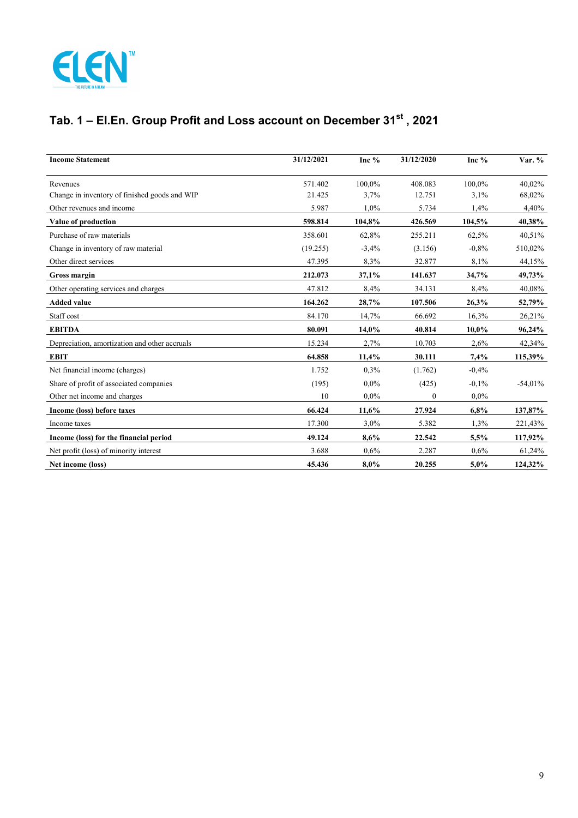

# **Tab. 1 – El.En. Group Profit and Loss account on December 31st , 2021**

| <b>Income Statement</b>                       | 31/12/2021 | Inc %   | 31/12/2020   | Inc %   | Var. %    |
|-----------------------------------------------|------------|---------|--------------|---------|-----------|
| Revenues                                      | 571.402    | 100,0%  | 408.083      | 100.0%  | 40,02%    |
| Change in inventory of finished goods and WIP | 21.425     | 3,7%    | 12.751       | 3,1%    | 68,02%    |
| Other revenues and income                     | 5.987      | 1,0%    | 5.734        | 1,4%    | 4,40%     |
| Value of production                           | 598.814    | 104,8%  | 426.569      | 104,5%  | 40,38%    |
| Purchase of raw materials                     | 358.601    | 62,8%   | 255.211      | 62,5%   | 40,51%    |
| Change in inventory of raw material           | (19.255)   | $-3,4%$ | (3.156)      | $-0.8%$ | 510,02%   |
| Other direct services                         | 47.395     | 8,3%    | 32.877       | 8,1%    | 44,15%    |
| <b>Gross margin</b>                           | 212.073    | 37,1%   | 141.637      | 34,7%   | 49,73%    |
| Other operating services and charges          | 47.812     | 8,4%    | 34.131       | 8,4%    | 40,08%    |
| <b>Added value</b>                            | 164.262    | 28,7%   | 107.506      | 26,3%   | 52,79%    |
| Staff cost                                    | 84.170     | 14,7%   | 66.692       | 16,3%   | 26,21%    |
| <b>EBITDA</b>                                 | 80.091     | 14,0%   | 40.814       | 10,0%   | 96,24%    |
| Depreciation, amortization and other accruals | 15.234     | 2,7%    | 10.703       | 2,6%    | 42,34%    |
| <b>EBIT</b>                                   | 64.858     | 11,4%   | 30.111       | 7,4%    | 115,39%   |
| Net financial income (charges)                | 1.752      | 0.3%    | (1.762)      | $-0,4%$ |           |
| Share of profit of associated companies       | (195)      | $0.0\%$ | (425)        | $-0.1%$ | $-54,01%$ |
| Other net income and charges                  | 10         | $0.0\%$ | $\mathbf{0}$ | $0.0\%$ |           |
| Income (loss) before taxes                    | 66.424     | 11,6%   | 27.924       | 6,8%    | 137,87%   |
| Income taxes                                  | 17.300     | 3,0%    | 5.382        | 1,3%    | 221,43%   |
| Income (loss) for the financial period        | 49.124     | 8,6%    | 22.542       | 5,5%    | 117,92%   |
| Net profit (loss) of minority interest        | 3.688      | 0,6%    | 2.287        | 0,6%    | 61,24%    |
| Net income (loss)                             | 45.436     | 8,0%    | 20.255       | 5,0%    | 124,32%   |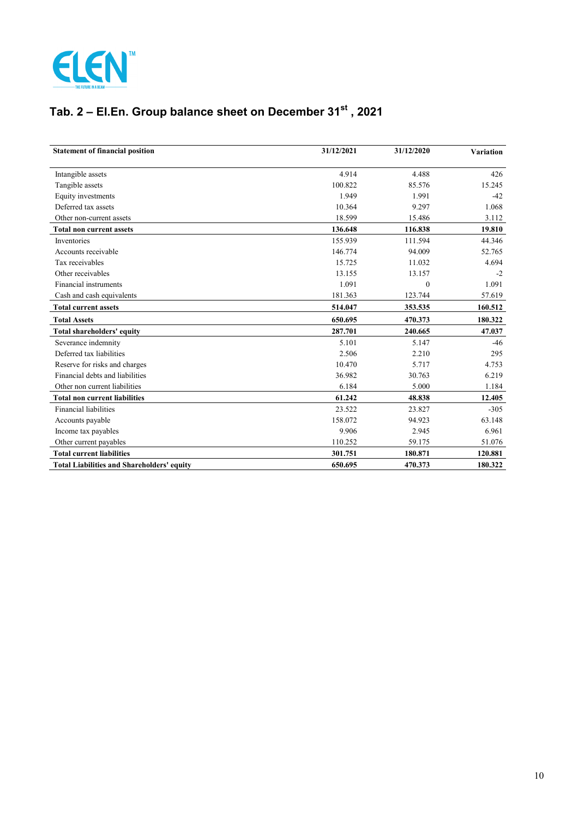

# **Tab. 2 – El.En. Group balance sheet on December 31st , 2021**

| <b>Statement of financial position</b>            | 31/12/2021 | 31/12/2020 | <b>Variation</b> |
|---------------------------------------------------|------------|------------|------------------|
| Intangible assets                                 | 4.914      | 4.488      | 426              |
| Tangible assets                                   | 100.822    | 85.576     | 15.245           |
| Equity investments                                | 1.949      | 1.991      | $-42$            |
| Deferred tax assets                               | 10.364     | 9.297      | 1.068            |
| Other non-current assets                          | 18.599     | 15.486     | 3.112            |
| <b>Total non current assets</b>                   | 136.648    | 116.838    | 19.810           |
| Inventories                                       | 155.939    | 111.594    | 44.346           |
| Accounts receivable                               | 146.774    | 94.009     | 52.765           |
| Tax receivables                                   | 15.725     | 11.032     | 4.694            |
| Other receivables                                 | 13.155     | 13.157     | $-2$             |
| Financial instruments                             | 1.091      | $\Omega$   | 1.091            |
| Cash and cash equivalents                         | 181.363    | 123.744    | 57.619           |
| <b>Total current assets</b>                       | 514.047    | 353.535    | 160.512          |
| <b>Total Assets</b>                               | 650.695    | 470.373    | 180.322          |
| Total shareholders' equity                        | 287.701    | 240.665    | 47.037           |
| Severance indemnity                               | 5.101      | 5.147      | $-46$            |
| Deferred tax liabilities                          | 2.506      | 2.210      | 295              |
| Reserve for risks and charges                     | 10.470     | 5.717      | 4.753            |
| Financial debts and liabilities                   | 36.982     | 30.763     | 6.219            |
| Other non current liabilities                     | 6.184      | 5.000      | 1.184            |
| <b>Total non current liabilities</b>              | 61.242     | 48.838     | 12.405           |
| <b>Financial liabilities</b>                      | 23.522     | 23.827     | $-305$           |
| Accounts payable                                  | 158.072    | 94.923     | 63.148           |
| Income tax payables                               | 9.906      | 2.945      | 6.961            |
| Other current payables                            | 110.252    | 59.175     | 51.076           |
| <b>Total current liabilities</b>                  | 301.751    | 180.871    | 120.881          |
| <b>Total Liabilities and Shareholders' equity</b> | 650.695    | 470.373    | 180.322          |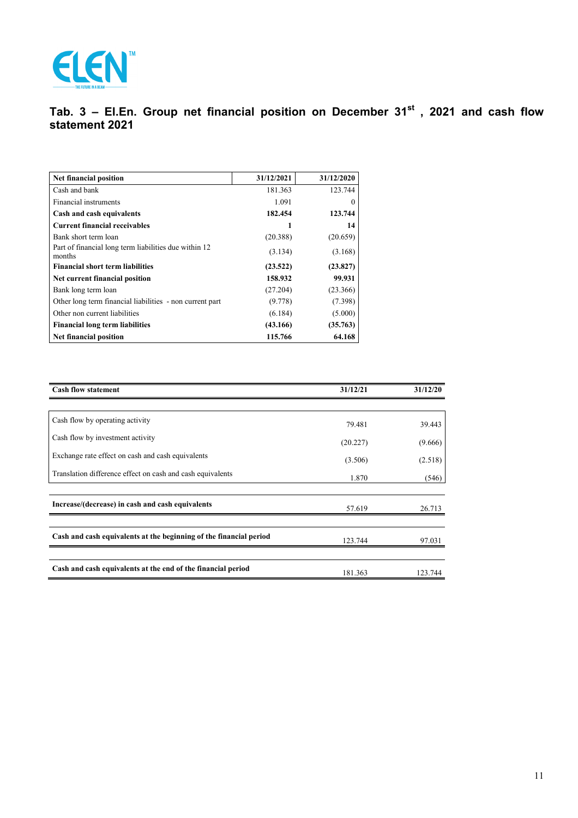

# **Tab. 3 – El.En. Group net financial position on December 31st , 2021 and cash flow statement 2021**

| Net financial position                                          | 31/12/2021 | 31/12/2020 |
|-----------------------------------------------------------------|------------|------------|
| Cash and bank                                                   | 181.363    | 123.744    |
| Financial instruments                                           | 1.091      | $\theta$   |
| Cash and cash equivalents                                       | 182.454    | 123.744    |
| <b>Current financial receivables</b>                            |            | 14         |
| Bank short term loan                                            | (20.388)   | (20.659)   |
| Part of financial long term liabilities due within 12<br>months | (3.134)    | (3.168)    |
| <b>Financial short term liabilities</b>                         | (23.522)   | (23.827)   |
| Net current financial position                                  | 158.932    | 99.931     |
| Bank long term loan                                             | (27.204)   | (23.366)   |
| Other long term financial liabilities - non current part        | (9.778)    | (7.398)    |
| Other non current liabilities                                   | (6.184)    | (5.000)    |
| <b>Financial long term liabilities</b>                          | (43.166)   | (35.763)   |
| Net financial position                                          | 115.766    | 64.168     |

| <b>Cash flow statement</b>                                         | 31/12/21 | 31/12/20 |
|--------------------------------------------------------------------|----------|----------|
|                                                                    |          |          |
| Cash flow by operating activity                                    | 79.481   | 39.443   |
| Cash flow by investment activity                                   | (20.227) | (9.666)  |
| Exchange rate effect on cash and cash equivalents                  | (3.506)  | (2.518)  |
| Translation difference effect on cash and cash equivalents         | 1.870    | (546)    |
|                                                                    |          |          |
| Increase/(decrease) in cash and cash equivalents                   | 57.619   | 26.713   |
|                                                                    |          |          |
| Cash and cash equivalents at the beginning of the financial period | 123.744  | 97.031   |
|                                                                    |          |          |
| Cash and cash equivalents at the end of the financial period       | 181.363  | 123.744  |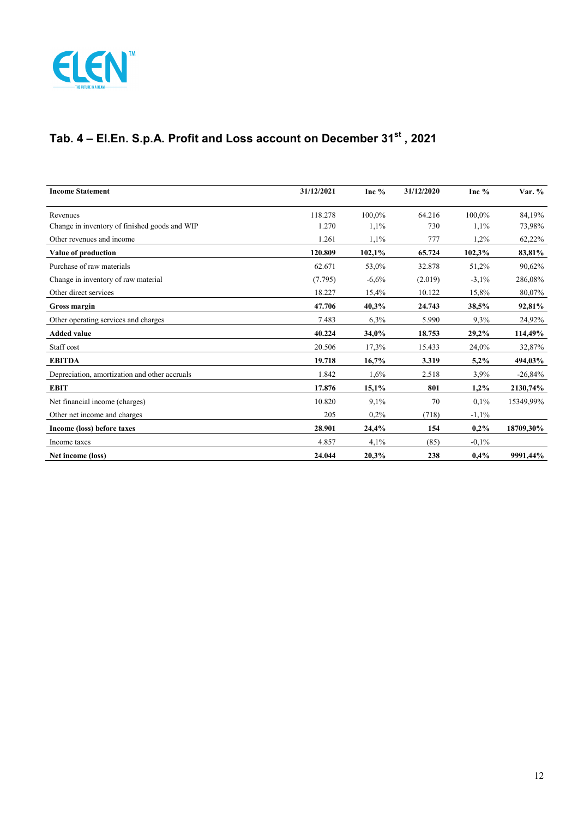

# **Tab. 4 – El.En. S.p.A. Profit and Loss account on December 31st , 2021**

| <b>Income Statement</b>                       | 31/12/2021 | Inc %   | 31/12/2020 | Inc $%$  | Var. %    |
|-----------------------------------------------|------------|---------|------------|----------|-----------|
| Revenues                                      | 118.278    | 100.0%  | 64.216     | 100.0%   | 84.19%    |
| Change in inventory of finished goods and WIP | 1.270      | 1,1%    | 730        | 1,1%     | 73,98%    |
| Other revenues and income                     | 1.261      | 1,1%    | 777        | 1,2%     | 62,22%    |
| Value of production                           | 120.809    | 102,1%  | 65.724     | 102,3%   | 83,81%    |
| Purchase of raw materials                     | 62.671     | 53,0%   | 32.878     | 51,2%    | 90,62%    |
| Change in inventory of raw material           | (7.795)    | $-6,6%$ | (2.019)    | $-3,1%$  | 286,08%   |
| Other direct services                         | 18.227     | 15,4%   | 10.122     | 15,8%    | 80,07%    |
| <b>Gross margin</b>                           | 47.706     | 40,3%   | 24.743     | 38,5%    | 92,81%    |
| Other operating services and charges          | 7.483      | 6,3%    | 5.990      | 9,3%     | 24,92%    |
| <b>Added value</b>                            | 40.224     | 34,0%   | 18.753     | 29,2%    | 114,49%   |
| Staff cost                                    | 20.506     | 17,3%   | 15.433     | 24,0%    | 32,87%    |
| <b>EBITDA</b>                                 | 19.718     | 16,7%   | 3.319      | 5,2%     | 494,03%   |
| Depreciation, amortization and other accruals | 1.842      | $1.6\%$ | 2.518      | 3,9%     | $-26,84%$ |
| <b>EBIT</b>                                   | 17.876     | 15,1%   | 801        | 1,2%     | 2130,74%  |
| Net financial income (charges)                | 10.820     | 9,1%    | 70         | $0.1\%$  | 15349,99% |
| Other net income and charges                  | 205        | $0.2\%$ | (718)      | $-1,1%$  |           |
| Income (loss) before taxes                    | 28.901     | 24,4%   | 154        | 0,2%     | 18709,30% |
| Income taxes                                  | 4.857      | 4,1%    | (85)       | $-0.1\%$ |           |
| Net income (loss)                             | 24.044     | 20,3%   | 238        | $0.4\%$  | 9991,44%  |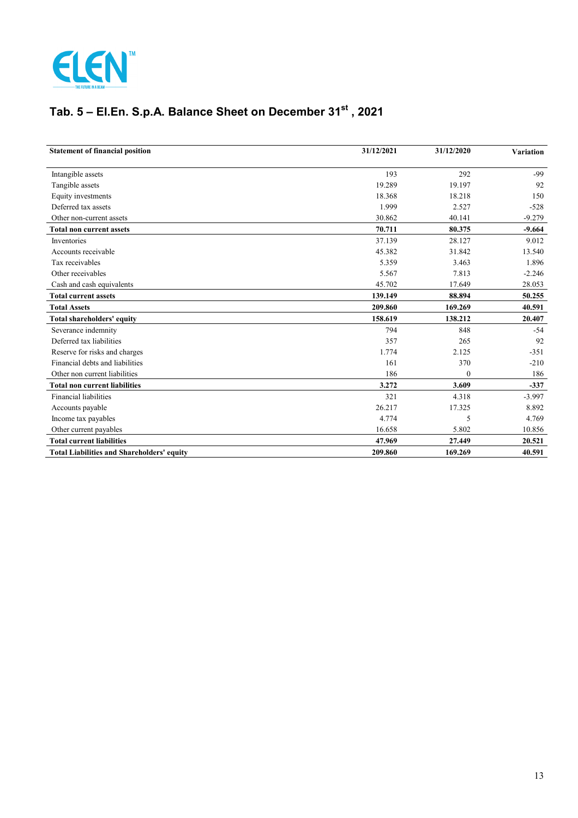

# **Tab. 5 – El.En. S.p.A. Balance Sheet on December 31st , 2021**

| <b>Statement of financial position</b>            | 31/12/2021 | 31/12/2020 | <b>Variation</b> |
|---------------------------------------------------|------------|------------|------------------|
| Intangible assets                                 | 193        | 292        | $-99$            |
| Tangible assets                                   | 19.289     | 19.197     | 92               |
| Equity investments                                | 18.368     | 18.218     | 150              |
| Deferred tax assets                               | 1.999      | 2.527      | $-528$           |
| Other non-current assets                          | 30.862     | 40.141     | $-9.279$         |
| <b>Total non current assets</b>                   | 70.711     | 80.375     | $-9.664$         |
| Inventories                                       | 37.139     | 28.127     | 9.012            |
| Accounts receivable                               | 45.382     | 31.842     | 13.540           |
| Tax receivables                                   | 5.359      | 3.463      | 1.896            |
| Other receivables                                 | 5.567      | 7.813      | $-2.246$         |
| Cash and cash equivalents                         | 45.702     | 17.649     | 28.053           |
| <b>Total current assets</b>                       | 139.149    | 88.894     | 50.255           |
| <b>Total Assets</b>                               | 209.860    | 169.269    | 40.591           |
| Total shareholders' equity                        | 158.619    | 138.212    | 20.407           |
| Severance indemnity                               | 794        | 848        | $-54$            |
| Deferred tax liabilities                          | 357        | 265        | 92               |
| Reserve for risks and charges                     | 1.774      | 2.125      | $-351$           |
| Financial debts and liabilities                   | 161        | 370        | $-210$           |
| Other non current liabilities                     | 186        | 0          | 186              |
| <b>Total non current liabilities</b>              | 3.272      | 3.609      | $-337$           |
| Financial liabilities                             | 321        | 4.318      | $-3.997$         |
| Accounts payable                                  | 26.217     | 17.325     | 8.892            |
| Income tax payables                               | 4.774      | 5          | 4.769            |
| Other current payables                            | 16.658     | 5.802      | 10.856           |
| <b>Total current liabilities</b>                  | 47.969     | 27.449     | 20.521           |
| <b>Total Liabilities and Shareholders' equity</b> | 209.860    | 169.269    | 40.591           |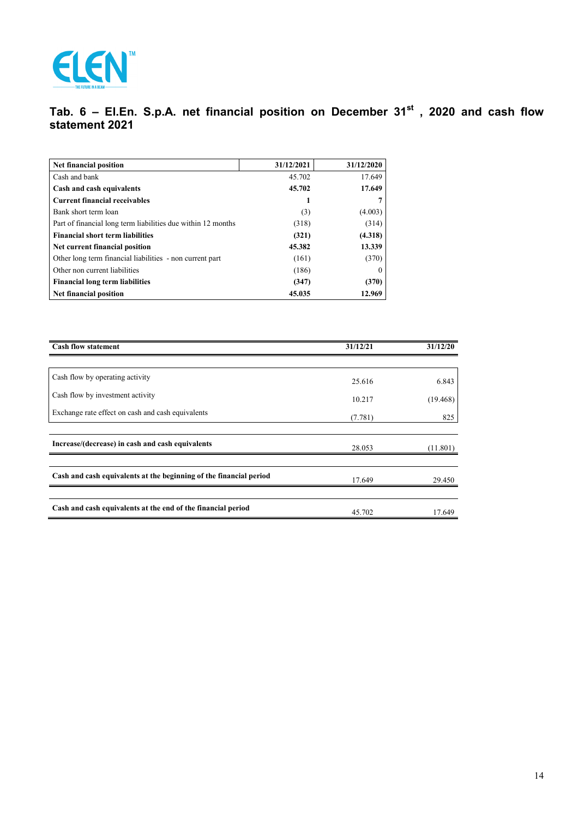

# **Tab. 6 – El.En. S.p.A. net financial position on December 31st , 2020 and cash flow statement 2021**

| Net financial position                                       | 31/12/2021 | 31/12/2020 |
|--------------------------------------------------------------|------------|------------|
| Cash and bank                                                | 45.702     | 17.649     |
| Cash and cash equivalents                                    | 45.702     | 17.649     |
| <b>Current financial receivables</b>                         |            |            |
| Bank short term loan                                         | (3)        | (4.003)    |
| Part of financial long term liabilities due within 12 months | (318)      | (314)      |
| <b>Financial short term liabilities</b>                      | (321)      | (4.318)    |
| Net current financial position                               | 45.382     | 13.339     |
| Other long term financial liabilities - non current part     | (161)      | (370)      |
| Other non current liabilities                                | (186)      | $\theta$   |
| <b>Financial long term liabilities</b>                       | (347)      | (370)      |
| Net financial position                                       | 45.035     | 12.969     |

| <b>Cash flow statement</b>                                         | 31/12/21 | 31/12/20 |
|--------------------------------------------------------------------|----------|----------|
|                                                                    |          |          |
| Cash flow by operating activity                                    | 25.616   | 6.843    |
| Cash flow by investment activity                                   | 10.217   | (19.468) |
| Exchange rate effect on cash and cash equivalents                  | (7.781)  | 825      |
| Increase/(decrease) in cash and cash equivalents                   | 28.053   | (11.801) |
|                                                                    |          |          |
| Cash and cash equivalents at the beginning of the financial period | 17.649   | 29.450   |
| Cash and cash equivalents at the end of the financial period       | 45.702   | 17.649   |